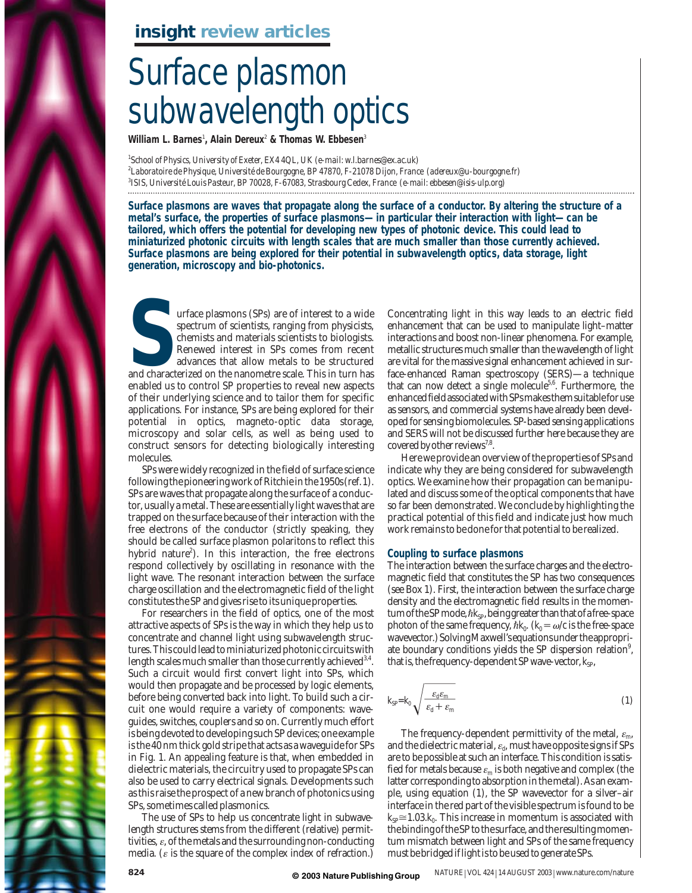# Surface plasmon subwavelength optics

**William L. Barnes**<sup>1</sup> **, Alain Dereux**<sup>2</sup> **& Thomas W. Ebbesen**<sup>3</sup>

1 *School of Physics, University of Exeter, EX4 4QL, UK (e-mail: w.l.barnes@ex.ac.uk)* 2 *Laboratoire de Physique, Université de Bourgogne, BP 47870, F-21078 Dijon, France (adereux@u-bourgogne.fr)* 3 *ISIS, Université Louis Pasteur, BP 70028, F-67083, Strasbourg Cedex, France (e-mail: ebbesen@isis-ulp.org)*

**Surface plasmons are waves that propagate along the surface of a conductor. By altering the structure of a metal's surface, the properties of surface plasmons—in particular their interaction with light—can be tailored, which offers the potential for developing new types of photonic device. This could lead to miniaturized photonic circuits with length scales that are much smaller than those currently achieved. Surface plasmons are being explored for their potential in subwavelength optics, data storage, light generation, microscopy and bio-photonics.** 

FRS (SPS) are of interest to a wide spectrum of scientists, ranging from physicists, chemists and materials scientists to biologists. Renewed interest in SPs comes from recent advances that allow metals to be structured an spectrum of scientists, ranging from physicists, chemists and materials scientists to biologists. Renewed interest in SPs comes from recent advances that allow metals to be structured and characterized on the nanometre scale. This in turn has enabled us to control SP properties to reveal new aspects of their underlying science and to tailor them for specific applications. For instance, SPs are being explored for their potential in optics, magneto-optic data storage, microscopy and solar cells, as well as being used to construct sensors for detecting biologically interesting molecules.

SPs were widely recognized in the field of surface science following the pioneering work of Ritchie in the 1950s(ref.1). SPs are waves that propagate along the surface of a conductor, usually a metal. These are essentially light waves that are trapped on the surface because of their interaction with the free electrons of the conductor (strictly speaking, they should be called surface plasmon polaritons to reflect this hybrid nature<sup>2</sup>). In this interaction, the free electrons respond collectively by oscillating in resonance with the light wave. The resonant interaction between the surface charge oscillation and the electromagnetic field of the light constitutes the SP and gives rise to its unique properties.

For researchers in the field of optics, one of the most attractive aspects of SPs is the way in which they help us to concentrate and channel light using subwavelength structures. This could lead to miniaturized photonic circuits with length scales much smaller than those currently achieved  $3,4$ . Such a circuit would first convert light into SPs, which would then propagate and be processed by logic elements, before being converted back into light. To build such a circuit one would require a variety of components: waveguides, switches, couplers and so on. Currently much effort is being devoted to developing such SP devices; one example is the 40 nm thick gold stripe that acts as a waveguide for SPs in Fig. 1. An appealing feature is that, when embedded in dielectric materials, the circuitry used to propagate SPs can also be used to carry electrical signals. Developments such as this raise the prospect of a new branch of photonics using SPs, sometimes called plasmonics.

The use of SPs to help us concentrate light in subwavelength structures stems from the different (relative) permittivities,  $\varepsilon$ , of the metals and the surrounding non-conducting media. ( $\varepsilon$  is the square of the complex index of refraction.)

Concentrating light in this way leads to an electric field enhancement that can be used to manipulate light–matter interactions and boost non-linear phenomena. For example, metallic structures much smaller than the wavelength of light are vital for the massive signal enhancement achieved in surface-enhanced Raman spectroscopy (SERS)—a technique that can now detect a single molecule<sup>5,6</sup>. Furthermore, the enhanced field associated with SPs makes them suitable for use as sensors, and commercial systems have already been developed for sensing biomolecules. SP-based sensing applications and SERS will not be discussed further here because they are covered by other reviews<sup>7,8</sup>.

Here we provide an overview of the properties of SPs and indicate why they are being considered for subwavelength optics. We examine how their propagation can be manipulated and discuss some of the optical components that have so far been demonstrated. We conclude by highlighting the practical potential of this field and indicate just how much work remains to be done for that potential to be realized.

### **Coupling to surface plasmons**

The interaction between the surface charges and the electromagnetic field that constitutes the SP has two consequences (see Box 1). First, the interaction between the surface charge density and the electromagnetic field results in the momentum of the SP mode,  $\hbar k_{\text{SP}}$ , being greater than that of a free-space photon of the same frequency,  $\hbar k_0$ . ( $k_0 = \omega/c$  is the free-space wavevector.) Solving Maxwell's equations under the appropriate boundary conditions yields the SP dispersion relation<sup>9</sup>, that is, the frequency-dependent SP wave-vector,  $k_{SP}$ ,

$$
k_{\rm SP} = k_0 \sqrt{\frac{\varepsilon_d \varepsilon_m}{\varepsilon_d + \varepsilon_m}}\tag{1}
$$

The frequency-dependent permittivity of the metal,  $\varepsilon_m$ , and the dielectric material,  $\varepsilon_d$ , must have opposite signs if SPs are to be possible at such an interface. This condition is satisfied for metals because  $\varepsilon_m$  is both negative and complex (the latter corresponding to absorption in the metal). As an example, using equation (1), the SP wavevector for a silver–air interface in the red part of the visible spectrum is found to be  $k_{\rm sp} \approx 1.03. k_{\rho}$ . This increase in momentum is associated with the binding of the SP to the surface, and the resulting momentum mismatch between light and SPs of the same frequency must be bridged if light is to be used to generate SPs.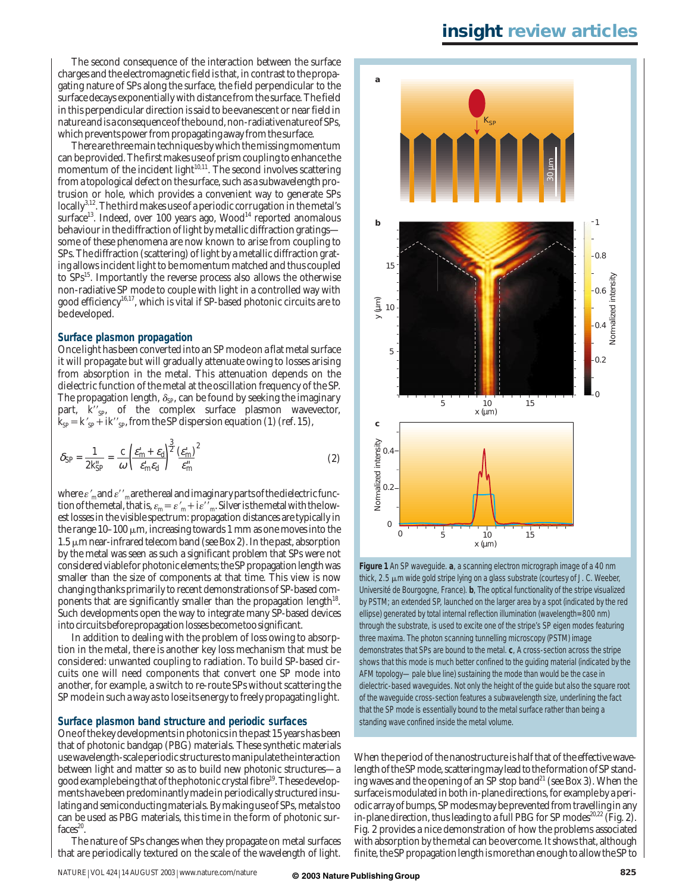The second consequence of the interaction between the surface charges and the electromagnetic field is that, in contrast to the propagating nature of SPs along the surface, the field perpendicular to the surface decays exponentially with distance from the surface. The field in this perpendicular direction is said to be evanescent or near field in nature and is a consequence of the bound, non-radiative nature of SPs, which prevents power from propagating away from the surface.

There are three main techniques by which the missing momentum can be provided. The first makes use of prism coupling to enhance the momentum of the incident light<sup>10,11</sup>. The second involves scattering from a topological defect on the surface, such as a subwavelength protrusion or hole, which provides a convenient way to generate SPs locally<sup>3,12</sup>. The third makes use of a periodic corrugation in the metal's surface<sup>13</sup>. Indeed, over 100 years ago, Wood<sup>14</sup> reported anomalous behaviour in the diffraction of light by metallic diffraction gratings some of these phenomena are now known to arise from coupling to SPs. The diffraction (scattering) of light by a metallic diffraction grating allows incident light to be momentum matched and thus coupled to SPs<sup>15</sup>. Importantly the reverse process also allows the otherwise non-radiative SP mode to couple with light in a controlled way with good efficiency<sup>16,17</sup>, which is vital if SP-based photonic circuits are to be developed.

### **Surface plasmon propagation**

Once light has been converted into an SP mode on a flat metal surface it will propagate but will gradually attenuate owing to losses arising from absorption in the metal. This attenuation depends on the dielectric function of the metal at the oscillation frequency of the SP. The propagation length,  $\delta_{SP}$  can be found by seeking the imaginary part, *k''*<sub>sp</sub>, of the complex surface plasmon wavevector,  $k_{SP}$  =  $k'_{SP}$  +  $ik''_{SP}$ , from the SP dispersion equation (1) (ref. 15),

$$
\delta_{SP} = \frac{1}{2k_{SP}^{"}} = \frac{c}{\omega} \left( \frac{\varepsilon_m^{\prime} + \varepsilon_d}{\varepsilon_m^{\prime} \varepsilon_d^{\prime}} \right)^{\frac{3}{2}} \frac{\left(\varepsilon_m^{\prime}\right)^2}{\varepsilon_m^{\prime\prime}} \tag{2}
$$

where  $\varepsilon^{r}_{~m}$ and  $\varepsilon^{r}$   $_{m}$ are the real and imaginary parts of the dielectric function of the metal, that is,  $\varepsilon_m = \varepsilon'_{m} + i\varepsilon'_{m}$ . Silver is the metal with the lowest losses in the visible spectrum: propagation distances are typically in the range  $10-100 \mu m$ , increasing towards 1 mm as one moves into the  $1.5 \mu m$  near-infrared telecom band (see Box 2). In the past, absorption by the metal was seen as such a significant problem that SPs were not considered viable for photonic elements; the SP propagation length was smaller than the size of components at that time. This view is now changing thanks primarily to recent demonstrations of SP-based components that are significantly smaller than the propagation length<sup>18</sup>. Such developments open the way to integrate many SP-based devices into circuits before propagation losses become too significant.

In addition to dealing with the problem of loss owing to absorption in the metal, there is another key loss mechanism that must be considered: unwanted coupling to radiation. To build SP-based circuits one will need components that convert one SP mode into another, for example, a switch to re-route SPs without scattering the SP mode in such a way as to lose its energy to freely propagating light.

#### **Surface plasmon band structure and periodic surfaces**

One of the key developments in photonics in the past 15 years has been that of photonic bandgap (PBG) materials. These synthetic materials use wavelength-scale periodic structures to manipulate the interaction between light and matter so as to build new photonic structures—a good example being that of the photonic crystal fibre<sup>19</sup>. These developments have been predominantly made in periodically structured insulating and semiconducting materials. By making use of SPs, metals too can be used as PBG materials, this time in the form of photonic sur $f$ aces<sup>20</sup>.

The nature of SPs changes when they propagate on metal surfaces that are periodically textured on the scale of the wavelength of light.



**Figure 1** An SP waveguide. **a**, a scanning electron micrograph image of a 40 nm thick,  $2.5 \mu m$  wide gold stripe lying on a glass substrate (courtesy of J. C. Weeber, Université de Bourgogne, France). **b**, The optical functionality of the stripe visualized by PSTM; an extended SP, launched on the larger area by a spot (indicated by the red ellipse) generated by total internal reflection illumination (wavelength=800 nm) through the substrate, is used to excite one of the stripe's SP eigen modes featuring three maxima. The photon scanning tunnelling microscopy (PSTM) image demonstrates that SPs are bound to the metal. **c**, A cross-section across the stripe shows that this mode is much better confined to the guiding material (indicated by the AFM topology—pale blue line) sustaining the mode than would be the case in dielectric-based waveguides. Not only the height of the guide but also the square root of the waveguide cross-section features a subwavelength size, underlining the fact that the SP mode is essentially bound to the metal surface rather than being a standing wave confined inside the metal volume.

When the period of the nanostructure is half that of the effective wavelength of the SP mode, scattering may lead to the formation of SP standing waves and the opening of an SP stop band<sup>21</sup> (see Box 3). When the surface is modulated in both in-plane directions, for example by a periodic array of bumps, SP modes may be prevented from travelling in any in-plane direction, thus leading to a full PBG for SP modes $^{20,22}$  (Fig. 2). Fig. 2 provides a nice demonstration of how the problems associated with absorption by the metal can be overcome. It shows that, although finite, the SP propagation length is more than enough to allow the SP to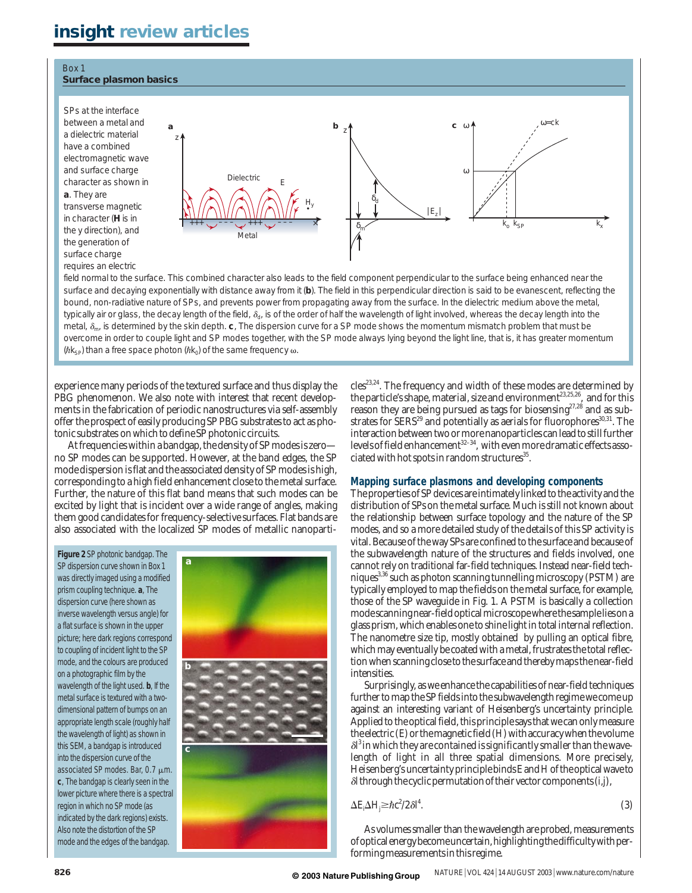

#### Box 1 **Surface plasmon basics**

SPs at the interface between a metal and a dielectric material have a combined electromagnetic wave and surface charge character as shown in **a**. They are transverse magnetic in character (**H** is in the y direction), and the generation of surface charge requires an electric



field normal to the surface. This combined character also leads to the field component perpendicular to the surface being enhanced near the surface and decaying exponentially with distance away from it (**b**). The field in this perpendicular direction is said to be evanescent, reflecting the bound, non-radiative nature of SPs, and prevents power from propagating away from the surface. In the dielectric medium above the metal, typically air or glass, the decay length of the field,  $\delta_{dr}$  is of the order of half the wavelength of light involved, whereas the decay length into the metal, d*m*, is determined by the skin depth. **c**, The dispersion curve for a SP mode shows the momentum mismatch problem that must be overcome in order to couple light and SP modes together, with the SP mode always lying beyond the light line, that is, it has greater momentum  $(hk_{\rm SD})$  than a free space photon  $(hk_0)$  of the same frequency  $\omega$ .

experience many periods of the textured surface and thus display the PBG phenomenon. We also note with interest that recent developments in the fabrication of periodic nanostructures via self-assembly offer the prospect of easily producing SP PBG substrates to act as photonic substrates on which to define SP photonic circuits.

At frequencies within a bandgap, the density of SP modes is zero no SP modes can be supported. However, at the band edges, the SP mode dispersion is flat and the associated density of SP modes is high, corresponding to a high field enhancement close to the metal surface. Further, the nature of this flat band means that such modes can be excited by light that is incident over a wide range of angles, making them good candidates for frequency-selective surfaces. Flat bands are also associated with the localized SP modes of metallic nanoparti-

**Figure 2** SP photonic bandgap. The SP dispersion curve shown in Box 1 was directly imaged using a modified prism coupling technique. **a**, The dispersion curve (here shown as inverse wavelength versus angle) for a flat surface is shown in the upper picture; here dark regions correspond to coupling of incident light to the SP mode, and the colours are produced on a photographic film by the wavelength of the light used. **b**, If the metal surface is textured with a twodimensional pattern of bumps on an appropriate length scale (roughly half the wavelength of light) as shown in this SEM, a bandgap is introduced into the dispersion curve of the associated SP modes. Bar,  $0.7 \mu m$ . **c**, The bandgap is clearly seen in the lower picture where there is a spectral region in which no SP mode (as indicated by the dark regions) exists. Also note the distortion of the SP mode and the edges of the bandgap.



cles<sup>23,24</sup>. The frequency and width of these modes are determined by the particle's shape, material, size and environment<sup>23,25,26</sup>, and for this reason they are being pursued as tags for biosensing $^{27,28}$  and as substrates for SERS<sup>29</sup> and potentially as aerials for fluorophores<sup>30,31</sup>. The interaction between two or more nanoparticles can lead to still further levels of field enhancement<sup>32-34</sup>, with even more dramatic effects associated with hot spots in random structures $35$ .

### **Mapping surface plasmons and developing components**

The properties of SP devices are intimately linked to the activity and the distribution of SPs on the metal surface. Much is still not known about the relationship between surface topology and the nature of the SP modes, and so a more detailed study of the details of this SP activity is vital. Because of the way SPs are confined to the surface and because of the subwavelength nature of the structures and fields involved, one cannot rely on traditional far-field techniques. Instead near-field techniques<sup>3,36</sup> such as photon scanning tunnelling microscopy (PSTM) are typically employed to map the fields on the metal surface, for example, those of the SP waveguide in Fig. 1. A PSTM is basically a collection mode scanning near-field optical microscope where the sample lies on a glass prism, which enables one to shine light in total internal reflection. The nanometre size tip, mostly obtained by pulling an optical fibre, which may eventually be coated with a metal, frustrates the total reflection when scanning close to the surface and thereby maps the near-field intensities.

Surprisingly, as we enhance the capabilities of near-field techniques further to map the SP fields into the subwavelength regime we come up against an interesting variant of Heisenberg's uncertainty principle. Applied to the optical field, this principle says that we can only measure the electric (*E*) or the magnetic field (*H*) with accuracy when the volume  $\delta$ <sup> $\beta$ </sup> in which they are contained is significantly smaller than the wavelength of light in all three spatial dimensions. More precisely, Heisenberg's uncertainty principle binds *E* and *H*of the optical wave to d*l*through the cyclic permutation of their vector components (*i,j*),

$$
\Delta E \Delta H \ge \hbar c^2 / 2 \delta I^4. \tag{3}
$$

As volumes smaller than the wavelength are probed, measurements of optical energy become uncertain, highlighting the difficulty with performing measurements in this regime.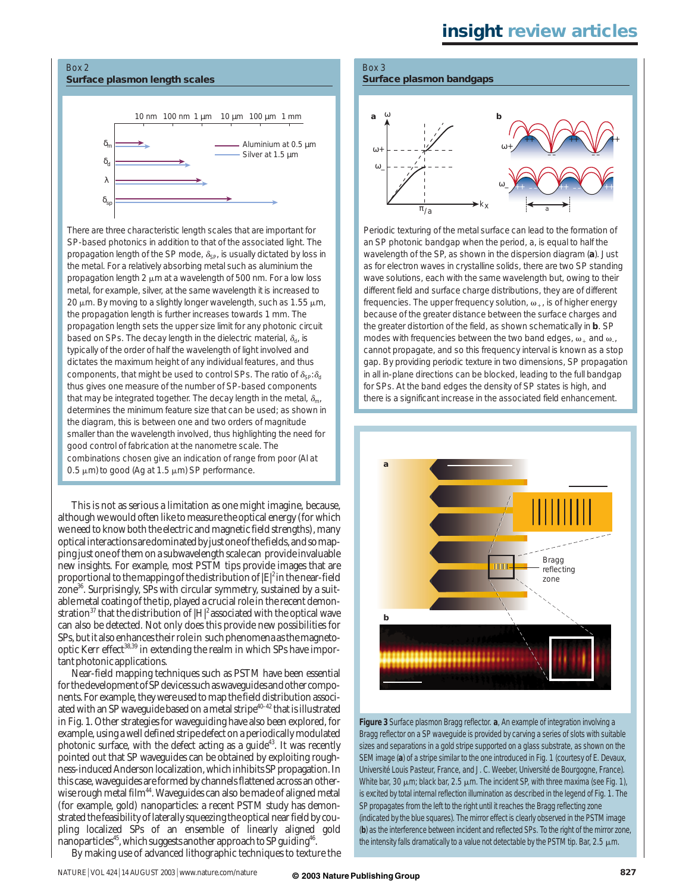

There are three characteristic length scales that are important for SP-based photonics in addition to that of the associated light. The propagation length of the SP mode,  $\delta_{SP}$ , is usually dictated by loss in the metal. For a relatively absorbing metal such as aluminium the propagation length 2  $\mu$ m at a wavelength of 500 nm. For a low loss metal, for example, silver, at the same wavelength it is increased to 20  $\mu$ m. By moving to a slightly longer wavelength, such as 1.55  $\mu$ m, the propagation length is further increases towards 1 mm. The propagation length sets the upper size limit for any photonic circuit based on SPs. The decay length in the dielectric material,  $\delta_{d}$ , is typically of the order of half the wavelength of light involved and dictates the maximum height of any individual features, and thus components, that might be used to control SPs. The ratio of  $\delta_{SP}$ :  $\delta_d$ thus gives one measure of the number of SP-based components that may be integrated together. The decay length in the metal,  $\delta_{m}$ , determines the minimum feature size that can be used; as shown in the diagram, this is between one and two orders of magnitude smaller than the wavelength involved, thus highlighting the need for good control of fabrication at the nanometre scale. The combinations chosen give an indication of range from poor (Al at  $0.5 \mu$ m) to good (Ag at 1.5  $\mu$ m) SP performance.

This is not as serious a limitation as one might imagine, because, although we would often like to measure the optical energy (for which we need to know both the electric and magnetic field strengths), many optical interactions are dominated by just one of the fields, and so mapping just one of them on a subwavelength scale can provide invaluable new insights. For example, most PSTM tips provide images that are proportional to the mapping of the distribution of  $|E|^2$  in the near-field zone<sup>36</sup>. Surprisingly, SPs with circular symmetry, sustained by a suitable metal coating of the tip, played a crucial role in the recent demonstration $^{37}$  that the distribution of  $|H|^2$  associated with the optical wave can also be detected. Not only does this provide new possibilities for SPs, but it also enhances their role in such phenomena as the magnetooptic Kerr effect<sup>38,39</sup> in extending the realm in which SPs have important photonic applications.

Near-field mapping techniques such as PSTM have been essential for the development of SP devices such as waveguides and other components.For example, they were used to map the field distribution associated with an SP waveguide based on a metal stripe<sup>40-42</sup> that is illustrated in Fig. 1. Other strategies for waveguiding have also been explored, for example, using a well defined stripe defect on a periodically modulated photonic surface, with the defect acting as a guide<sup>43</sup>. It was recently pointed out that SP waveguides can be obtained by exploiting roughness-induced Anderson localization, which inhibits SP propagation. In this case, waveguides are formed by channels flattened across an otherwise rough metal film<sup>44</sup>. Waveguides can also be made of aligned metal (for example, gold) nanoparticles: a recent PSTM study has demonstrated the feasibility of laterally squeezing the optical near field by coupling localized SPs of an ensemble of linearly aligned gold nanoparticles<sup>45</sup>, which suggests another approach to SP guiding<sup>46</sup>.

By making use of advanced lithographic techniques to texture the



Periodic texturing of the metal surface can lead to the formation of an SP photonic bandgap when the period, *a*, is equal to half the wavelength of the SP, as shown in the dispersion diagram (**a**). Just as for electron waves in crystalline solids, there are two SP standing wave solutions, each with the same wavelength but, owing to their different field and surface charge distributions, they are of different frequencies. The upper frequency solution,  $\omega_{+}$ , is of higher energy because of the greater distance between the surface charges and the greater distortion of the field, as shown schematically in **b**. SP modes with frequencies between the two band edges,  $\omega_{+}$  and  $\omega_{-}$ , cannot propagate, and so this frequency interval is known as a stop gap. By providing periodic texture in two dimensions, SP propagation in all in-plane directions can be blocked, leading to the full bandgap for SPs. At the band edges the density of SP states is high, and there is a significant increase in the associated field enhancement.



**Figure 3** Surface plasmon Bragg reflector. **a**, An example of integration involving a Bragg reflector on a SP waveguide is provided by carving a series of slots with suitable sizes and separations in a gold stripe supported on a glass substrate, as shown on the SEM image (**a**) of a stripe similar to the one introduced in Fig. 1 (courtesy of E. Devaux, Université Louis Pasteur, France, and J. C. Weeber, Université de Bourgogne, France). White bar, 30  $\mu$ m; black bar, 2.5  $\mu$ m. The incident SP, with three maxima (see Fig. 1), is excited by total internal reflection illumination as described in the legend of Fig. 1. The SP propagates from the left to the right until it reaches the Bragg reflecting zone (indicated by the blue squares). The mirror effect is clearly observed in the PSTM image (**b**) as the interference between incident and reflected SPs. To the right of the mirror zone, the intensity falls dramatically to a value not detectable by the PSTM tip. Bar, 2.5  $\mu$ m.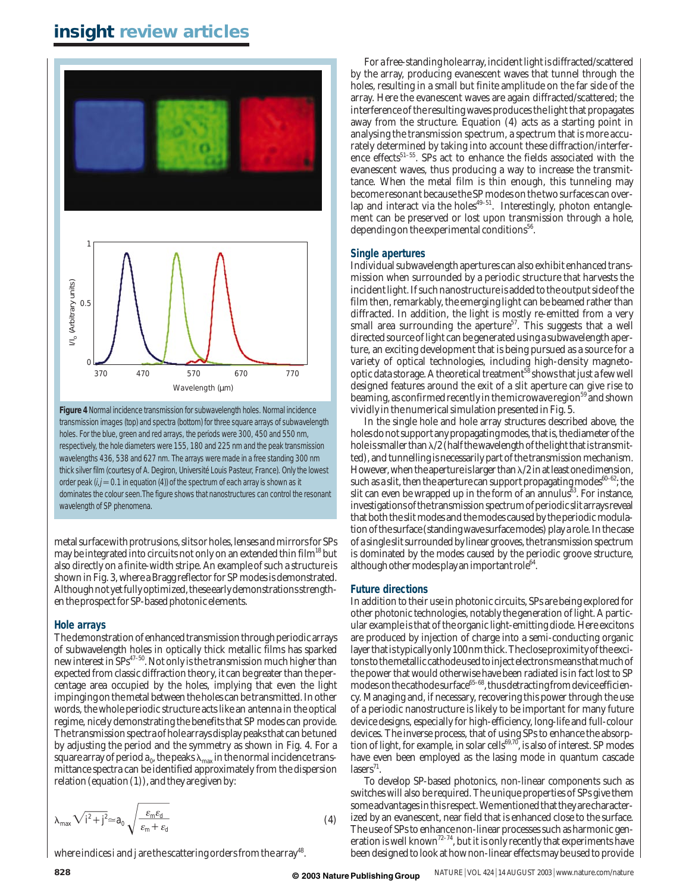

**Figure 4** Normal incidence transmission for subwavelength holes. Normal incidence transmission images (top) and spectra (bottom) for three square arrays of subwavelength holes. For the blue, green and red arrays, the periods were 300, 450 and 550 nm, respectively, the hole diameters were 155, 180 and 225 nm and the peak transmission wavelengths 436, 538 and 627 nm. The arrays were made in a free standing 300 nm thick silver film (courtesy of A. Degiron, Université Louis Pasteur, France). Only the lowest order peak  $(i,j=0.1$  in equation (4)) of the spectrum of each array is shown as it dominates the colour seen.The figure shows that nanostructures can control the resonant wavelength of SP phenomena.

metal surface with protrusions, slits or holes, lenses and mirrors for SPs may be integrated into circuits not only on an extended thin film<sup>18</sup> but also directly on a finite-width stripe. An example of such a structure is shown in Fig. 3, where a Bragg reflector for SP modes is demonstrated. Although not yet fully optimized, these early demonstrations strengthen the prospect for SP-based photonic elements.

### **Hole arrays**

The demonstration of enhanced transmission through periodic arrays of subwavelength holes in optically thick metallic films has sparked new interest in SPs<sup>47-50</sup>. Not only is the transmission much higher than expected from classic diffraction theory, it can be greater than the percentage area occupied by the holes, implying that even the light impinging on the metal between the holes can be transmitted. In other words, the whole periodic structure acts like an antenna in the optical regime, nicely demonstrating the benefits that SP modes can provide. The transmission spectra of hole arrays display peaks that can be tuned by adjusting the period and the symmetry as shown in Fig. 4. For a square array of period  $a_0$ , the peaks  $\lambda_{\text{max}}$  in the normal incidence transmittance spectra can be identified approximately from the dispersion relation (equation (1)), and they are given by:

$$
\lambda_{\max} \sqrt{\mathring{f} + \mathring{f}} \simeq a_0 \sqrt{\frac{\varepsilon_m \varepsilon_d}{\varepsilon_m + \varepsilon_d}} \tag{4}
$$

where indices *i* and *j* are the scattering orders from the array<sup>48</sup>.

For a free-standing hole array, incident light is diffracted/scattered by the array, producing evanescent waves that tunnel through the holes, resulting in a small but finite amplitude on the far side of the array. Here the evanescent waves are again diffracted/scattered; the interference of the resulting waves produces the light that propagates away from the structure. Equation (4) acts as a starting point in analysing the transmission spectrum, a spectrum that is more accurately determined by taking into account these diffraction/interference effects<sup>51-55</sup>. SPs act to enhance the fields associated with the evanescent waves, thus producing a way to increase the transmittance. When the metal film is thin enough, this tunneling may become resonant because the SP modes on the two surfaces can overlap and interact via the holes<sup>49-51</sup>. Interestingly, photon entanglement can be preserved or lost upon transmission through a hole, depending on the experimental conditions<sup>56</sup>.

### **Single apertures**

Individual subwavelength apertures can also exhibit enhanced transmission when surrounded by a periodic structure that harvests the incident light. If such nanostructure is added to the output side of the film then, remarkably, the emerging light can be beamed rather than diffracted. In addition, the light is mostly re-emitted from a very small area surrounding the aperture<sup>57</sup>. This suggests that a well directed source of light can be generated using a subwavelength aperture, an exciting development that is being pursued as a source for a variety of optical technologies, including high-density magnetooptic data storage. A theoretical treatment<sup>58</sup> shows that just a few well designed features around the exit of a slit aperture can give rise to beaming, as confirmed recently in the microwave region<sup>59</sup> and shown vividly in the numerical simulation presented in Fig. 5.

In the single hole and hole array structures described above, the holes do not support any propagating modes, that is, the diameter of the hole is smaller than  $\lambda/2$  (half the wavelength of the light that is transmitted), and tunnelling is necessarily part of the transmission mechanism. However, when the aperture is larger than  $\lambda/2$  in at least one dimension, such as a slit, then the aperture can support propagating modes $60-62$ ; the slit can even be wrapped up in the form of an annulus $^{63}$ . For instance, investigations of the transmission spectrum of periodic slit arrays reveal that both the slit modes and the modes caused by the periodic modulation of the surface (standing wave surface modes) play a role. In the case of a single slit surrounded by linear grooves, the transmission spectrum is dominated by the modes caused by the periodic groove structure, although other modes play an important role<sup>64</sup>.

### **Future directions**

In addition to their use in photonic circuits, SPs are being explored for other photonic technologies, notably the generation of light. A particular example is that of the organic light-emitting diode. Here excitons are produced by injection of charge into a semi-conducting organic layer that is typically only 100 nm thick. The close proximity of the excitons to the metallic cathode used to inject electrons means that much of the power that would otherwise have been radiated is in fact lost to SP modes on the cathode surface $65-68$ , thus detracting from device efficiency. Managing and, if necessary, recovering this power through the use of a periodic nanostructure is likely to be important for many future device designs, especially for high-efficiency, long-life and full-colour devices. The inverse process, that of using SPs to enhance the absorption of light, for example, in solar cells<sup>69,70</sup>, is also of interest. SP modes have even been employed as the lasing mode in quantum cascade  $lasers^{71}$ .

To develop SP-based photonics, non-linear components such as switches will also be required. The unique properties of SPs give them some advantages in this respect. We mentioned that they are characterized by an evanescent, near field that is enhanced close to the surface. The use of SPs to enhance non-linear processes such as harmonic generation is well known<sup>72-74</sup>, but it is only recently that experiments have been designed to look at how non-linear effects may be used to provide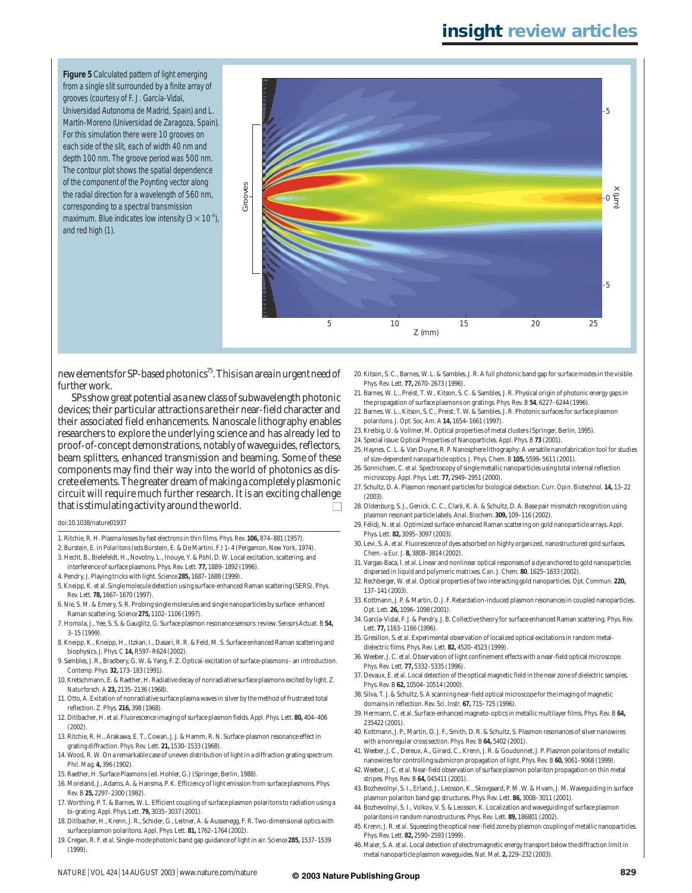are radial direction for a wavelength or 5d<br>corresponding to a spectral transmission **Figure 5** Calculated pattern of light emerging from a single slit surrounded by a finite array of grooves (courtesy of F. J. García-Vidal, Universidad Autonoma de Madrid, Spain) and L. Martín-Moreno (Universidad de Zaragoza, Spain). For this simulation there were 10 grooves on each side of the slit, each of width 40 nm and depth 100 nm. The groove period was 500 nm. The contour plot shows the spatial dependence of the component of the Poynting vector along the radial direction for a wavelength of 560 nm, maximum. Blue indicates low intensity  $(3 \times 10^{-4})$ , and red high (1).



new elements for SP-based photonics<sup>75</sup>. This is an area in urgent need of further work.

SPs show great potential as a new class of subwavelength photonic devices; their particular attractions are their near-field character and their associated field enhancements. Nanoscale lithography enables researchers to explore the underlying science and has already led to proof-of-concept demonstrations, notably of waveguides, reflectors, beam splitters, enhanced transmission and beaming. Some of these components may find their way into the world of photonics as discrete elements. The greater dream of making a completely plasmonic circuit will require much further research. It is an exciting challenge that is stimulating activity around the world.

doi:10.1038/nature01937

- 1. Ritchie, R. H. Plasma losses by fast electrons in thin films. *Phys. Rev.* **106,** 874–881 (1957).
- 2. Burstein, E. in *Polaritons*(eds Burstein, E. & De Martini, F.) 1–4 (Pergamon, New York, 1974).
- 3. Hecht, B., Bielefeldt, H., Novotny, L., Inouye, Y. & Pohl, D. W. Local excitation, scattering, and interference of surface plasmons. *Phys. Rev. Lett.* **77,** 1889–1892 (1996).
- 4. Pendry, J. Playing tricks with light. *Science* **285,** 1687–1688 (1999).
- 5. Kneipp, K. *et al*. Single molecule detection using surface-enhanced Raman scattering (SERS). *Phys. Rev. Lett.* **78,** 1667–1670 (1997).
- 6. Nie, S. M. & Emery, S. R. Probing single molecules and single nanoparticles by surface- enhanced Raman scattering. *Science* **275,** 1102–1106 (1997).
- 7. Homola, J., Yee, S. S. & Gauglitz, G. Surface plasmon resonance sensors: review. *Sensors Actuat. B* **54,** 3–15 (1999).
- 8. Kneipp, K., Kneipp, H., Itzkan, I., Dasari, R. R. & Feld, M. S. Surface enhanced Raman scattering and biophysics. *J. Phys. C* **14,** R597–R624 (2002).
- 9. Sambles, J. R., Bradbery, G. W. & Yang, F. Z. Optical-excitation of surface-plasmons an introduction. *Contemp. Phys.* **32,** 173–183 (1991).
- 10. Kretschmann, E. & Raether, H. Radiative decay of nonradiative surface plasmons excited by light. *Z. Naturforsch. A* **23,** 2135–2136 (1968).
- 11. Otto, A. Exitation of nonradiative surface plasma waves in silver by the method of frustrated total reflection. *Z. Phys.* **216,** 398 (1968).
- 12. Ditlbacher, H. *et al*. Fluorescence imaging of surface plasmon fields. *Appl. Phys. Lett.* **80,** 404–406 (2002).
- 13. Ritchie, R. H., Arakawa, E. T., Cowan, J. J. & Hamm, R. N. Surface-plasmon resonance effect in grating diffraction. *Phys. Rev. Lett.* **21,** 1530–1533 (1968).
- 14. Wood, R. W. On a remarkable case of uneven distribution of light in a diffraction grating spectrum. *Phil. Mag.* **4,** 396 (1902).
- 15. Raether, H. Surface Plasmons (ed. Hohler, G.) (Springer, Berlin, 1988).
- 16. Moreland, J., Adams, A. & Hansma, P. K. Efficiency of light emission from surface plasmons. *Phys. Rev. B* **25,** 2297–2300 (1982).
- 17. Worthing, P. T. & Barnes, W. L. Efficient coupling of surface plasmon polaritons to radiation using a bi-grating. *Appl. Phys. Lett.* **79,** 3035–3037 (2001).
- 18. Ditlbacher, H., Krenn, J. R., Schider, G., Leitner, A. & Aussenegg, F. R. Two-dimensional optics with surface plasmon polaritons. *Appl. Phys. Lett.* **81,** 1762–1764 (2002).
- 19. Cregan, R. F. *et al*. Single-mode photonic band gap guidance of light in air. *Science* **285,** 1537–1539 (1999).
- 20. Kitson, S. C., Barnes, W. L. & Sambles, J. R. A full photonic band gap for surface modes in the visible. *Phys. Rev. Lett.* **77,** 2670–2673 (1996).
- 21. Barnes, W. L., Preist, T. W., Kitson, S. C. & Sambles, J. R. Physical origin of photonic energy gaps in the propagation of surface plasmons on gratings. *Phys. Rev. B* **54**, 6227–6244 (1996).
- 22. Barnes, W. L., Kitson, S. C., Preist, T. W. & Sambles, J. R. Photonic surfaces for surface plasmon polaritons. *J. Opt. Soc. Am. A* **14,** 1654–1661 (1997).
- 23. Kreibig, U. & Vollmer, M. Optical properties of metal clusters (Springer, Berlin, 1995).
- 24. Special issue: Optical Properties of Nanoparticles. *Appl. Phys. B* **73** (2001).
- 25. Haynes, C. L. & Van Duyne, R. P. Nanosphere lithography: A versatile nanofabrication tool for studies of size-dependent nanoparticle optics. *J. Phys. Chem. B* **105,** 5599–5611 (2001).
- 26. Sonnichsen, C. *et al.* Spectroscopy of single metallic nanoparticles using total internal reflection microscopy. *Appl. Phys. Lett.* **77,** 2949–2951 (2000).
- 27. Schultz, D. A. Plasmon resonant particles for biological detection. *Curr. Opin. Biotechnol.* **14,** 13–22  $(2003)$
- 28. Oldenburg, S. J., Genick, C. C., Clark, K. A. & Schultz, D. A. Base pair mismatch recognition using plasmon resonant particle labels. *Anal. Biochem.* **309,** 109–116 (2002).
- 29. Félidj, N. *et al.* Optimized surface-enhanced Raman scattering on gold nanoparticle arrays. *Appl. Phys. Lett.* **82,** 3095–3097 (2003).
- 30. Levi, S. A. *et al.* Fluorescence of dyes adsorbed on highly organized, nanostructured gold surfaces. *Chem.-a Eur. J.* **8,** 3808–3814 (2002).
- 31. Vargas-Baca, I. *et al*. Linear and nonlinear optical responses of a dye anchored to gold nanoparticles dispersed in liquid and polymeric matrixes. *Can. J. Chem.* **80**, 1625–1633 (2002).
- 32. Rechberger, W. *et al*. Optical properties of two interacting gold nanoparticles. *Opt. Commun.* **220,** 137–141 (2003).
- 33. Kottmann, J. P. & Martin, O. J. F. Retardation-induced plasmon resonances in coupled nanoparticles. *Opt. Lett.* **26,** 1096–1098 (2001).
- 34. García-Vidal, F. J. & Pendry, J. B. Collective theory for surface enhanced Raman scattering. *Phys. Rev. Lett.* **77,** 1163–1166 (1996).
- 35. Gresillon, S. *et al*. Experimental observation of localized optical excitations in random metaldielectric films. *Phys. Rev. Lett.* **82,** 4520–4523 (1999).
- 36. Weeber, J. C. *et al*. Observation of light confinement effects with a near-field optical microscope. *Phys. Rev. Lett.* **77,** 5332–5335 (1996).
- 37. Devaux, E. *et al*. Local detection of the optical magnetic field in the near zone of dielectric samples. *Phys. Rev. B* **62,** 10504–10514 (2000).
- 38. Silva, T. J. & Schultz, S. A scanning near-field optical microscope for the imaging of magnetic domains in reflection. *Rev. Sci. Instr.* **67,** 715–725 (1996).
- 39. Hermann, C. *et al*. Surface-enhanced magneto-optics in metallic multilayer films. *Phys. Rev. B* **64,** 235422 (2001).
- 40. Kottmann, J. P., Martin, O. J. F., Smith, D. R. & Schultz, S. Plasmon resonances of silver nanowires with a nonregular cross section. *Phys. Rev. B* **64,** 5402 (2001).
- 41. Weeber, J. C., Dereux, A., Girard, C., Krenn, J. R. & Goudonnet, J. P. Plasmon polaritons of metallic nanowires for controlling submicron propagation of light. *Phys. Rev. B* **60,** 9061–9068 (1999).
- 42. Weeber, J. C. *et al*. Near-field observation of surface plasmon polariton propagation on thin metal stripes. *Phys. Rev. B* **64,** 045411 (2001).
- 43. Bozhevolnyi, S. I., Erland, J., Leosson, K., Skovgaard, P. M. W. & Hvam, J. M. Waveguiding in surface plasmon polariton band gap structures. *Phys. Rev. Lett.* **86,** 3008–3011 (2001).
- 44. Bozhevolnyi, S. I., Volkov, V. S. & Leosson, K. Localization and waveguiding of surface plasmon polaritons in random nanostructures. *Phys. Rev. Lett.* **89,** 186801 (2002).
- 45. Krenn, J. R. *et al*. Squeezing the optical near-field zone by plasmon coupling of metallic nanoparticles. *Phys. Rev. Lett.* **82,** 2590–2593 (1999).
- 46. Maier, S. A. *et al*. Local detection of electromagnetic energy transport below the diffraction limit in metal nanoparticle plasmon waveguides. *Nat. Mat.* **2,** 229–232 (2003).